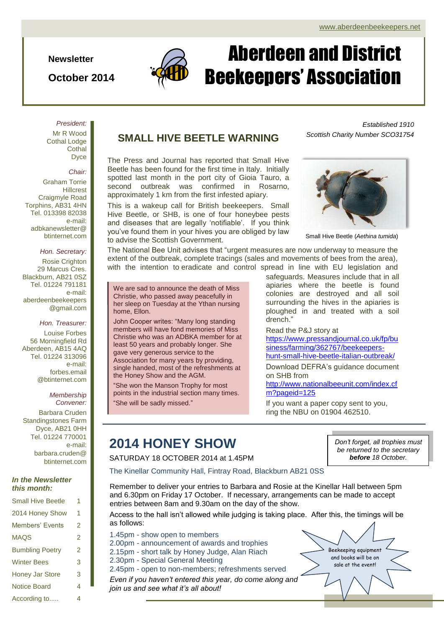*Established 1910*

**Newsletter**

**October 2014**



# Aberdeen and District Beekeepers' Association

### *President:* Mr R Wood Cothal Lodge **Cothal** Dyce

*Chair:*

Graham Torrie Hillcrest Craigmyle Road Torphins, AB31 4HN Tel. 013398 82038 e-mail: adbkanewsletter@ btinternet.com

### *Hon. Secretary:*

Rosie Crighton 29 Marcus Cres. Blackburn, AB21 0SZ Tel. 01224 791181 e-mail: aberdeenbeekeepers @gmail.com

#### *Hon. Treasurer:*

Louise Forbes 56 Morningfield Rd Aberdeen, AB15 4AQ Tel. 01224 313096 e-mail: forbes.email @btinternet.com

#### *Membership Convener:*

Barbara Cruden Standingstones Farm Dyce, AB21 0HH Tel. 01224 770001 e-mail: barbara.cruden@ btinternet.com

### *In the Newsletter this month:*

| <b>Small Hive Beetle</b> | 1 |
|--------------------------|---|
| 2014 Honey Show          | 1 |
| Members' Events          | 2 |
| <b>MAQS</b>              | 2 |
| <b>Bumbling Poetry</b>   | 2 |
| <b>Winter Bees</b>       | 3 |
| <b>Honey Jar Store</b>   | 3 |
| Notice Board             | 4 |
| According to             | 4 |

### **SMALL HIVE BEETLE WARNING**

The Press and Journal has reported that Small Hive Beetle has been found for the first time in Italy. Initially spotted last month in the port city of Gioia Tauro, a second outbreak was confirmed in Rosarno, approximately 1 km from the first infested apiary.

This is a wakeup call for British beekeepers. Small Hive Beetle, or SHB, is one of four honeybee pests and diseases that are legally 'notifiable'. If you think you've found them in your hives you are obliged by law to advise the Scottish Government.

The National Bee Unit advises that "urgent measures are now underway to measure the extent of the outbreak, complete tracings (sales and movements of bees from the area), with the intention to eradicate and control spread in line with EU legislation and

We are sad to announce the death of Miss Christie, who passed away peacefully in her sleep on Tuesday at the Ythan nursing home, Ellon.

John Cooper writes: "Many long standing members will have fond memories of Miss Christie who was an ADBKA member for at least 50 years and probably longer. She gave very generous service to the Association for many years by providing, single handed, most of the refreshments at the Honey Show and the AGM.

"She won the Manson Trophy for most points in the industrial section many times. "She will be sadly missed."

safeguards. Measures include that in all apiaries where the beetle is found colonies are destroyed and all soil surrounding the hives in the apiaries is ploughed in and treated with a soil drench."

Read the P&J story at

[https://www.pressandjournal.co.uk/fp/bu](https://www.pressandjournal.co.uk/fp/business/farming/362767/beekeepers-hunt-small-hive-beetle-italian-outbreak/) [siness/farming/362767/beekeepers](https://www.pressandjournal.co.uk/fp/business/farming/362767/beekeepers-hunt-small-hive-beetle-italian-outbreak/)[hunt-small-hive-beetle-italian-outbreak/](https://www.pressandjournal.co.uk/fp/business/farming/362767/beekeepers-hunt-small-hive-beetle-italian-outbreak/)

Download DEFRA's guidance document on SHB from

[http://www.nationalbeeunit.com/index.cf](http://www.nationalbeeunit.com/index.cfm?pageid=125) [m?pageid=125](http://www.nationalbeeunit.com/index.cfm?pageid=125)

If you want a paper copy sent to you, ring the NBU on 01904 462510.

### **2014 HONEY SHOW**

SATURDAY 18 OCTOBER 2014 at 1.45PM

The Kinellar Community Hall, Fintray Road, Blackburn AB21 0SS

Remember to deliver your entries to Barbara and Rosie at the Kinellar Hall between 5pm and 6.30pm on Friday 17 October. If necessary, arrangements can be made to accept entries between 8am and 9.30am on the day of the show.

Access to the hall isn't allowed while judging is taking place. After this, the timings will be as follows:

1.45pm - show open to members 2.00pm - announcement of awards and trophies 2.15pm - short talk by Honey Judge, Alan Riach 2.30pm - Special General Meeting

2.45pm - open to non-members; refreshments served

*Even if you haven't entered this year, do come along and join us and see what it's all about!*

*Don't forget, all trophies must be returned to the secretary before 18 October.*

Beekeeping equipment and books will be on sale at the event!



*Scottish Charity Number SCO31754*

Small Hive Beetle (*Aethina tumida*)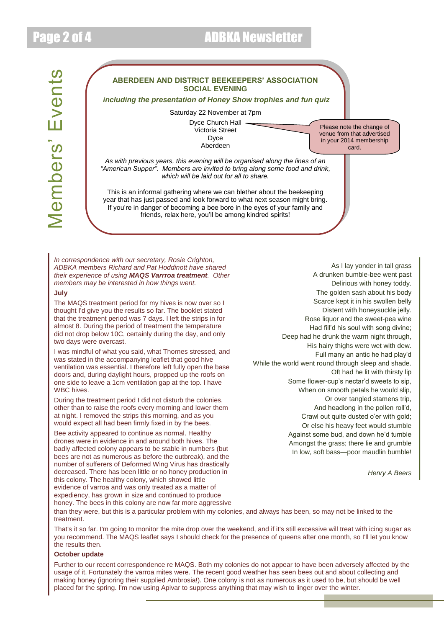### Page 2 of 4 ADBKA Newsletter



*In correspondence with our secretary, Rosie Crighton, ADBKA members Richard and Pat Hoddinott have shared their experience of using MAQS Varrroa treatment. Other* 

*members may be interested in how things went.*

### **July**

The MAQS treatment period for my hives is now over so I thought I'd give you the results so far. The booklet stated that the treatment period was 7 days. I left the strips in for almost 8. During the period of treatment the temperature did not drop below 10C, certainly during the day, and only two days were overcast.

I was mindful of what you said, what Thornes stressed, and was stated in the accompanying leaflet that good hive ventilation was essential. I therefore left fully open the base doors and, during daylight hours, propped up the roofs on one side to leave a 1cm ventilation gap at the top. I have WBC hives.

During the treatment period I did not disturb the colonies, other than to raise the roofs every morning and lower them at night. I removed the strips this morning, and as you would expect all had been firmly fixed in by the bees.

Bee activity appeared to continue as normal. Healthy drones were in evidence in and around both hives. The badly affected colony appears to be stable in numbers (but bees are not as numerous as before the outbreak), and the number of sufferers of Deformed Wing Virus has drastically decreased. There has been little or no honey production in this colony. The healthy colony, which showed little evidence of varroa and was only treated as a matter of expediency, has grown in size and continued to produce honey. The bees in this colony are now far more aggressive

As I lay yonder in tall grass A drunken bumble-bee went past Delirious with honey toddy. The golden sash about his body Scarce kept it in his swollen belly Distent with honeysuckle jelly. Rose liquor and the sweet-pea wine Had fill'd his soul with song divine; Deep had he drunk the warm night through, His hairy thighs were wet with dew. Full many an antic he had play'd While the world went round through sleep and shade. Oft had he lit with thirsty lip Some flower-cup's nectar'd sweets to sip, When on smooth petals he would slip, Or over tangled stamens trip, And headlong in the pollen roll'd, Crawl out quite dusted o'er with gold: Or else his heavy feet would stumble Against some bud, and down he'd tumble Amongst the grass; there lie and grumble In low, soft bass—poor maudlin bumble!

*Henry A Beers*

than they were, but this is a particular problem with my colonies, and always has been, so may not be linked to the treatment.

That's it so far. I'm going to monitor the mite drop over the weekend, and if it's still excessive will treat with icing sugar as you recommend. The MAQS leaflet says I should check for the presence of queens after one month, so I'll let you know the results then.

### **October update**

Further to our recent correspondence re MAQS. Both my colonies do not appear to have been adversely affected by the usage of it. Fortunately the varroa mites were. The recent good weather has seen bees out and about collecting and making honey (ignoring their supplied Ambrosia!). One colony is not as numerous as it used to be, but should be well placed for the spring. I'm now using Apivar to suppress anything that may wish to linger over the winter.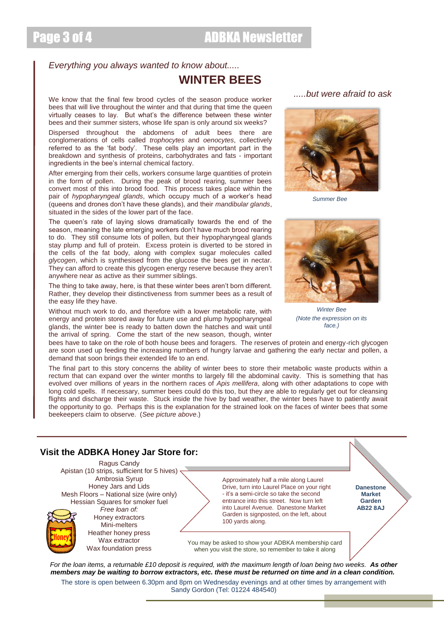### *Everything you always wanted to know about.....*

### **WINTER BEES**

We know that the final few brood cycles of the season produce worker bees that will live throughout the winter and that during that time the queen virtually ceases to lay. But what's the difference between these winter bees and their summer sisters, whose life span is only around six weeks?

Dispersed throughout the abdomens of adult bees there are conglomerations of cells called *trophocytes* and *oenocytes*, collectively referred to as the 'fat body'. These cells play an important part in the breakdown and synthesis of proteins, carbohydrates and fats - important ingredients in the bee's internal chemical factory.

After emerging from their cells, workers consume large quantities of protein in the form of pollen. During the peak of brood rearing, summer bees convert most of this into brood food. This process takes place within the pair of *hypopharyngeal glands*, which occupy much of a worker's head (queens and drones don't have these glands), and their *mandibular glands*, situated in the sides of the lower part of the face.

The queen's rate of laying slows dramatically towards the end of the season, meaning the late emerging workers don't have much brood rearing to do. They still consume lots of pollen, but their hypopharyngeal glands stay plump and full of protein. Excess protein is diverted to be stored in the cells of the fat body, along with complex sugar molecules called *glycogen*, which is synthesised from the glucose the bees get in nectar. They can afford to create this glycogen energy reserve because they aren't anywhere near as active as their summer siblings.

The thing to take away, here, is that these winter bees aren't born different. Rather, they develop their distinctiveness from summer bees as a result of the easy life they have.

Without much work to do, and therefore with a lower metabolic rate, with energy and protein stored away for future use and plump hypopharyngeal glands, the winter bee is ready to batten down the hatches and wait until the arrival of spring. Come the start of the new season, though, winter





*Winter Bee (Note the expression on its face.)*

bees have to take on the role of both house bees and foragers. The reserves of protein and energy-rich glycogen are soon used up feeding the increasing numbers of hungry larvae and gathering the early nectar and pollen, a demand that soon brings their extended life to an end.

The final part to this story concerns the ability of winter bees to store their metabolic waste products within a rectum that can expand over the winter months to largely fill the abdominal cavity. This is something that has evolved over millions of years in the northern races of *Apis mellifera*, along with other adaptations to cope with long cold spells. If necessary, summer bees could do this too, but they are able to regularly get out for cleansing flights and discharge their waste. Stuck inside the hive by bad weather, the winter bees have to patiently await the opportunity to go. Perhaps this is the explanation for the strained look on the faces of winter bees that some beekeepers claim to observe. (*See picture above*.)



### *.....but were afraid to ask*